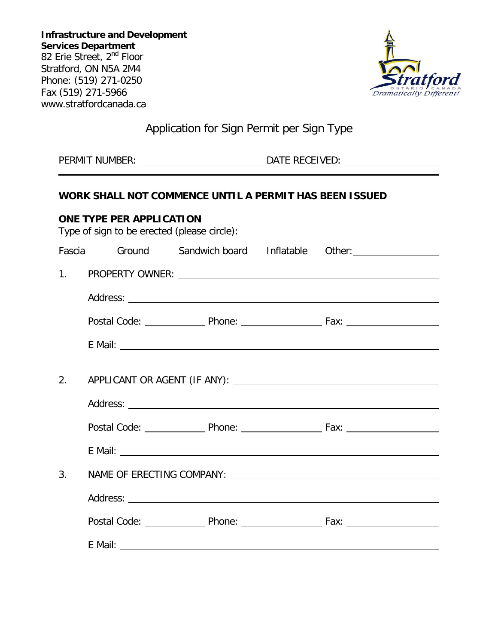

# Application for Sign Permit per Sign Type

PERMIT NUMBER: DATE RECEIVED:

# **WORK SHALL NOT COMMENCE UNTIL A PERMIT HAS BEEN ISSUED**

| ONE TYPE PER APPLICATION<br>Type of sign to be erected (please circle): |  |  |  |  |                                                                                                                                                                                                                               |  |
|-------------------------------------------------------------------------|--|--|--|--|-------------------------------------------------------------------------------------------------------------------------------------------------------------------------------------------------------------------------------|--|
|                                                                         |  |  |  |  | Fascia Ground Sandwich board Inflatable Other: Christian Christian Christian Christian Christian Christian Chri                                                                                                               |  |
| 1.                                                                      |  |  |  |  |                                                                                                                                                                                                                               |  |
|                                                                         |  |  |  |  |                                                                                                                                                                                                                               |  |
|                                                                         |  |  |  |  |                                                                                                                                                                                                                               |  |
|                                                                         |  |  |  |  |                                                                                                                                                                                                                               |  |
|                                                                         |  |  |  |  |                                                                                                                                                                                                                               |  |
| 2.                                                                      |  |  |  |  |                                                                                                                                                                                                                               |  |
|                                                                         |  |  |  |  |                                                                                                                                                                                                                               |  |
|                                                                         |  |  |  |  |                                                                                                                                                                                                                               |  |
|                                                                         |  |  |  |  | E Mail:                                                                                                                                                                                                                       |  |
| 3.                                                                      |  |  |  |  |                                                                                                                                                                                                                               |  |
|                                                                         |  |  |  |  |                                                                                                                                                                                                                               |  |
|                                                                         |  |  |  |  |                                                                                                                                                                                                                               |  |
|                                                                         |  |  |  |  | E Mail: No. 1996. The Mail: No. 1996. The Mail: No. 1997. The Mail: No. 1997. The Mail: No. 1997. The Mail: No. 1997. The Mail: No. 1997. The Mail: No. 1997. The Mail: No. 1997. The Mail: No. 1997. The Mail: No. 1997. The |  |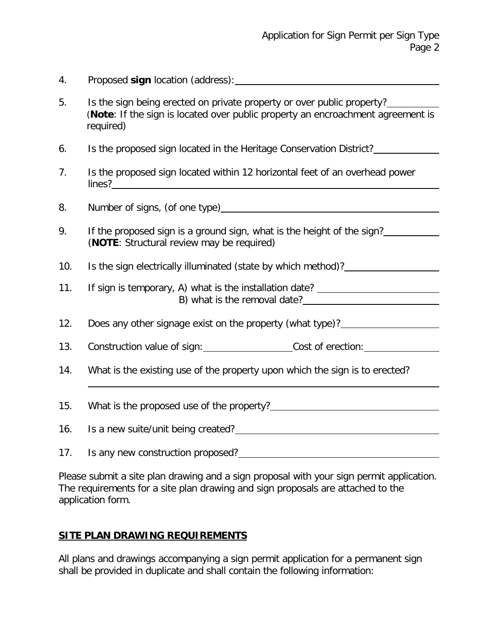- 4. Proposed **sign** location (address):
- 5. Is the sign being erected on private property or over public property? (**Note**: If the sign is located over public property an encroachment agreement is required)
- 6. Is the proposed sign located in the Heritage Conservation District?
- 7. Is the proposed sign located within 12 horizontal feet of an overhead power lines?
- 8. Number of signs, (of one type) example and the state of signs,  $\sim$
- 9. If the proposed sign is a ground sign, what is the height of the sign? (**NOTE**: Structural review may be required)
- 10. Is the sign electrically illuminated (state by which method)?
- 11. If sign is temporary, A) what is the installation date? B) what is the removal date?
- 12. Does any other signage exist on the property (what type)?
- 13. Construction value of sign: Cost of erection:
- 14. What is the existing use of the property upon which the sign is to erected?

15. What is the proposed use of the property?

16. Is a new suite/unit being created?

17. Is any new construction proposed?

Please submit a site plan drawing and a sign proposal with your sign permit application. The requirements for a site plan drawing and sign proposals are attached to the application form.

## **SITE PLAN DRAWING REQUIREMENTS**

All plans and drawings accompanying a sign permit application for a permanent sign shall be provided in duplicate and shall contain the following information: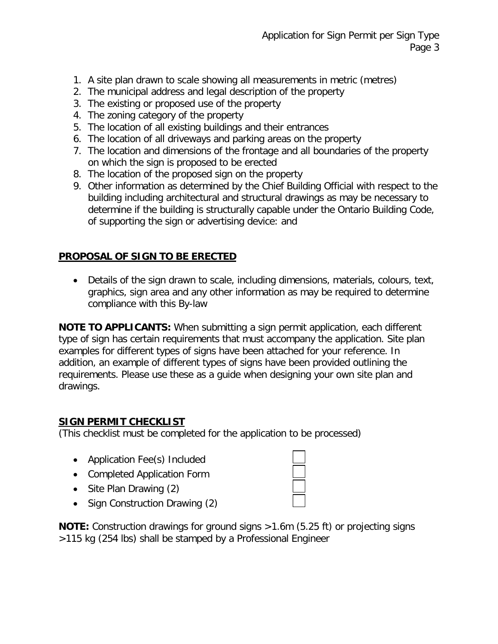- 1. A site plan drawn to scale showing all measurements in metric (metres)
- 2. The municipal address and legal description of the property
- 3. The existing or proposed use of the property
- 4. The zoning category of the property
- 5. The location of all existing buildings and their entrances
- 6. The location of all driveways and parking areas on the property
- 7. The location and dimensions of the frontage and all boundaries of the property on which the sign is proposed to be erected
- 8. The location of the proposed sign on the property
- 9. Other information as determined by the Chief Building Official with respect to the building including architectural and structural drawings as may be necessary to determine if the building is structurally capable under the Ontario Building Code, of supporting the sign or advertising device: and

# **PROPOSAL OF SIGN TO BE ERECTED**

• Details of the sign drawn to scale, including dimensions, materials, colours, text, graphics, sign area and any other information as may be required to determine compliance with this By-law

**NOTE TO APPLICANTS:** When submitting a sign permit application, each different type of sign has certain requirements that must accompany the application. Site plan examples for different types of signs have been attached for your reference. In addition, an example of different types of signs have been provided outlining the requirements. Please use these as a guide when designing your own site plan and drawings.

# **SIGN PERMIT CHECKLIST**

(This checklist must be completed for the application to be processed)

- Application Fee(s) Included
- Completed Application Form
- Site Plan Drawing (2)
- Sign Construction Drawing (2)

**NOTE:** Construction drawings for ground signs >1.6m (5.25 ft) or projecting signs >115 kg (254 lbs) shall be stamped by a Professional Engineer

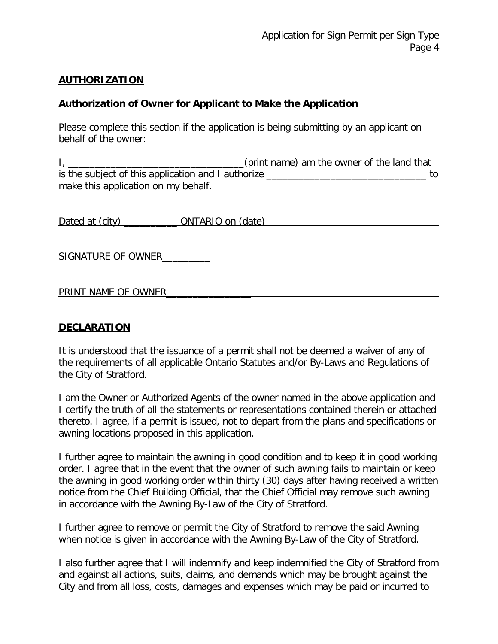## **AUTHORIZATION**

## **Authorization of Owner for Applicant to Make the Application**

Please complete this section if the application is being submitting by an applicant on behalf of the owner:

I, \_\_\_\_\_\_\_\_\_\_\_\_\_\_\_\_\_\_\_\_\_\_\_\_\_\_\_\_\_\_\_\_\_(print name) am the owner of the land that is the subject of this application and I authorize \_\_\_\_\_\_\_\_\_\_\_\_\_\_\_\_\_\_\_\_\_\_\_\_\_\_\_\_\_\_ to make this application on my behalf.

| Dated at (city) | ONTARIO on (date) |  |
|-----------------|-------------------|--|
|                 |                   |  |

SIGNATURE OF OWNER

## PRINT NAME OF OWNER

## **DECLARATION**

It is understood that the issuance of a permit shall not be deemed a waiver of any of the requirements of all applicable Ontario Statutes and/or By-Laws and Regulations of the City of Stratford.

I am the Owner or Authorized Agents of the owner named in the above application and I certify the truth of all the statements or representations contained therein or attached thereto. I agree, if a permit is issued, not to depart from the plans and specifications or awning locations proposed in this application.

I further agree to maintain the awning in good condition and to keep it in good working order. I agree that in the event that the owner of such awning fails to maintain or keep the awning in good working order within thirty (30) days after having received a written notice from the Chief Building Official, that the Chief Official may remove such awning in accordance with the Awning By-Law of the City of Stratford.

I further agree to remove or permit the City of Stratford to remove the said Awning when notice is given in accordance with the Awning By-Law of the City of Stratford.

I also further agree that I will indemnify and keep indemnified the City of Stratford from and against all actions, suits, claims, and demands which may be brought against the City and from all loss, costs, damages and expenses which may be paid or incurred to